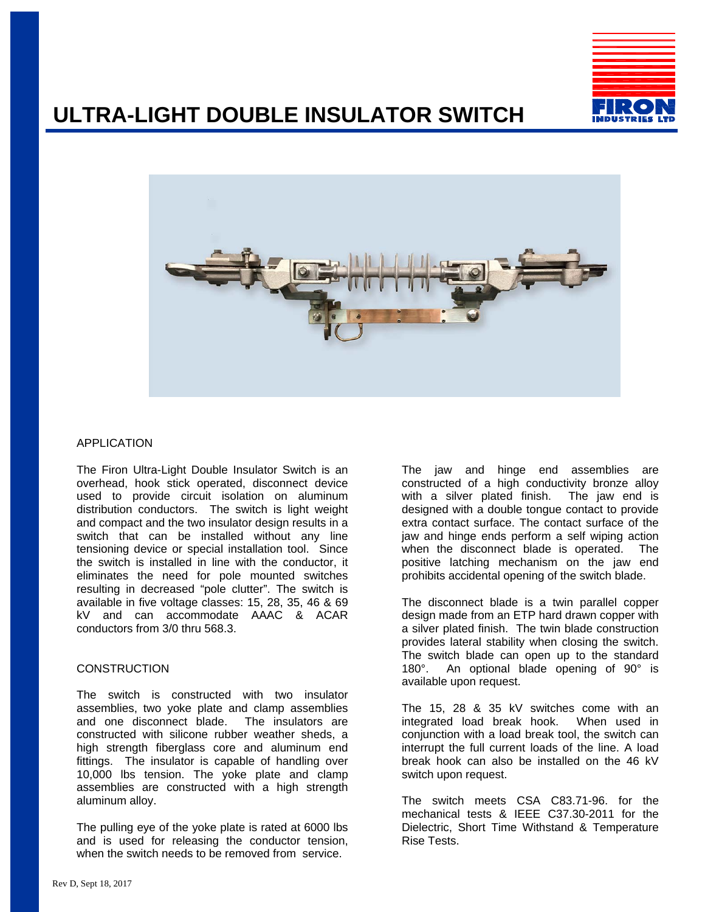

## **ULTRA-LIGHT DOUBLE INSULATOR SWITCH**



## APPLICATION

The Firon Ultra-Light Double Insulator Switch is an overhead, hook stick operated, disconnect device used to provide circuit isolation on aluminum distribution conductors. The switch is light weight and compact and the two insulator design results in a switch that can be installed without any line tensioning device or special installation tool. Since the switch is installed in line with the conductor, it eliminates the need for pole mounted switches resulting in decreased "pole clutter". The switch is available in five voltage classes: 15, 28, 35, 46 & 69 kV and can accommodate AAAC & ACAR conductors from 3/0 thru 568.3.

## **CONSTRUCTION**

The switch is constructed with two insulator assemblies, two yoke plate and clamp assemblies and one disconnect blade. The insulators are constructed with silicone rubber weather sheds, a high strength fiberglass core and aluminum end fittings. The insulator is capable of handling over 10,000 lbs tension. The yoke plate and clamp assemblies are constructed with a high strength aluminum alloy.

The pulling eye of the yoke plate is rated at 6000 lbs and is used for releasing the conductor tension, when the switch needs to be removed from service.

The jaw and hinge end assemblies are constructed of a high conductivity bronze alloy with a silver plated finish. The jaw end is designed with a double tongue contact to provide extra contact surface. The contact surface of the jaw and hinge ends perform a self wiping action when the disconnect blade is operated. The positive latching mechanism on the jaw end prohibits accidental opening of the switch blade.

The disconnect blade is a twin parallel copper design made from an ETP hard drawn copper with a silver plated finish. The twin blade construction provides lateral stability when closing the switch. The switch blade can open up to the standard 180°. An optional blade opening of 90° is available upon request.

The 15, 28 & 35 kV switches come with an integrated load break hook. When used in conjunction with a load break tool, the switch can interrupt the full current loads of the line. A load break hook can also be installed on the 46 kV switch upon request.

The switch meets CSA C83.71-96. for the mechanical tests & IEEE C37.30-2011 for the Dielectric, Short Time Withstand & Temperature Rise Tests.